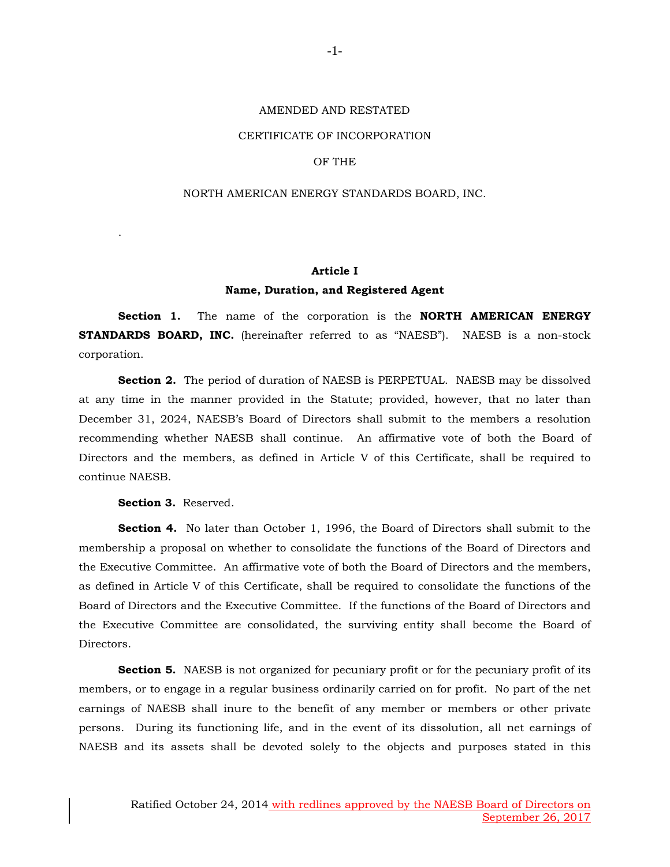## AMENDED AND RESTATED

## CERTIFICATE OF INCORPORATION

## OF THE

## NORTH AMERICAN ENERGY STANDARDS BOARD, INC.

# **Article I Name, Duration, and Registered Agent**

**Section 1.** The name of the corporation is the **NORTH AMERICAN ENERGY STANDARDS BOARD, INC.** (hereinafter referred to as "NAESB"). NAESB is a non-stock corporation.

**Section 2.** The period of duration of NAESB is PERPETUAL. NAESB may be dissolved at any time in the manner provided in the Statute; provided, however, that no later than December 31, 2024, NAESB's Board of Directors shall submit to the members a resolution recommending whether NAESB shall continue. An affirmative vote of both the Board of Directors and the members, as defined in Article V of this Certificate, shall be required to continue NAESB.

**Section 3.** Reserved.

.

**Section 4.** No later than October 1, 1996, the Board of Directors shall submit to the membership a proposal on whether to consolidate the functions of the Board of Directors and the Executive Committee. An affirmative vote of both the Board of Directors and the members, as defined in Article V of this Certificate, shall be required to consolidate the functions of the Board of Directors and the Executive Committee. If the functions of the Board of Directors and the Executive Committee are consolidated, the surviving entity shall become the Board of Directors.

**Section 5.** NAESB is not organized for pecuniary profit or for the pecuniary profit of its members, or to engage in a regular business ordinarily carried on for profit. No part of the net earnings of NAESB shall inure to the benefit of any member or members or other private persons. During its functioning life, and in the event of its dissolution, all net earnings of NAESB and its assets shall be devoted solely to the objects and purposes stated in this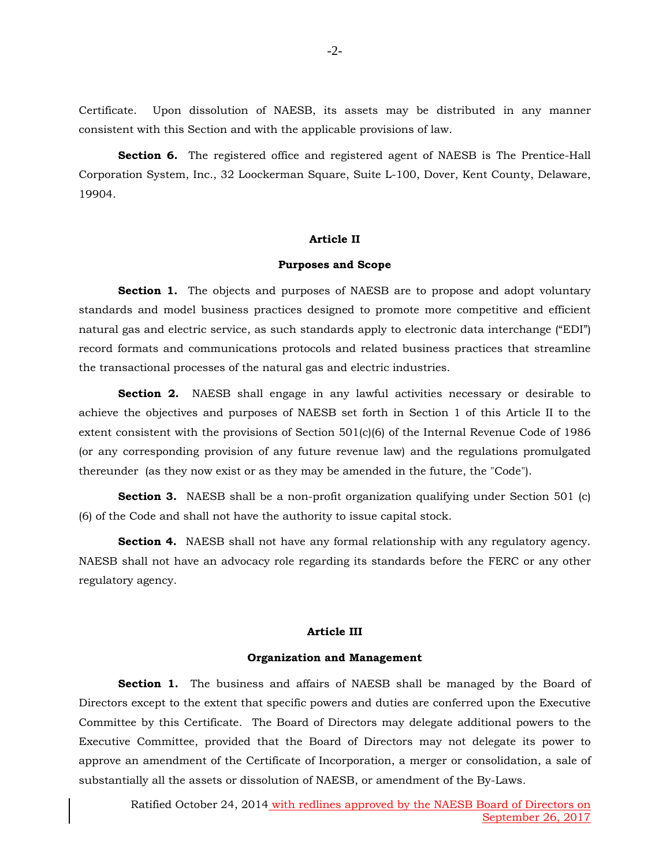Certificate. Upon dissolution of NAESB, its assets may be distributed in any manner consistent with this Section and with the applicable provisions of law.

**Section 6.** The registered office and registered agent of NAESB is The Prentice-Hall Corporation System, Inc., 32 Loockerman Square, Suite L-100, Dover, Kent County, Delaware, 19904.

#### **Article II**

## **Purposes and Scope**

**Section 1.** The objects and purposes of NAESB are to propose and adopt voluntary standards and model business practices designed to promote more competitive and efficient natural gas and electric service, as such standards apply to electronic data interchange ("EDI") record formats and communications protocols and related business practices that streamline the transactional processes of the natural gas and electric industries.

**Section 2.** NAESB shall engage in any lawful activities necessary or desirable to achieve the objectives and purposes of NAESB set forth in Section 1 of this Article II to the extent consistent with the provisions of Section 501(c)(6) of the Internal Revenue Code of 1986 (or any corresponding provision of any future revenue law) and the regulations promulgated thereunder (as they now exist or as they may be amended in the future, the "Code").

**Section 3.** NAESB shall be a non-profit organization qualifying under Section 501 (c) (6) of the Code and shall not have the authority to issue capital stock.

**Section 4.** NAESB shall not have any formal relationship with any regulatory agency. NAESB shall not have an advocacy role regarding its standards before the FERC or any other regulatory agency.

# **Article III**

## **Organization and Management**

**Section 1.** The business and affairs of NAESB shall be managed by the Board of Directors except to the extent that specific powers and duties are conferred upon the Executive Committee by this Certificate. The Board of Directors may delegate additional powers to the Executive Committee, provided that the Board of Directors may not delegate its power to approve an amendment of the Certificate of Incorporation, a merger or consolidation, a sale of substantially all the assets or dissolution of NAESB, or amendment of the By-Laws.

> Ratified October 24, 2014 with redlines approved by the NAESB Board of Directors on September 26, 2017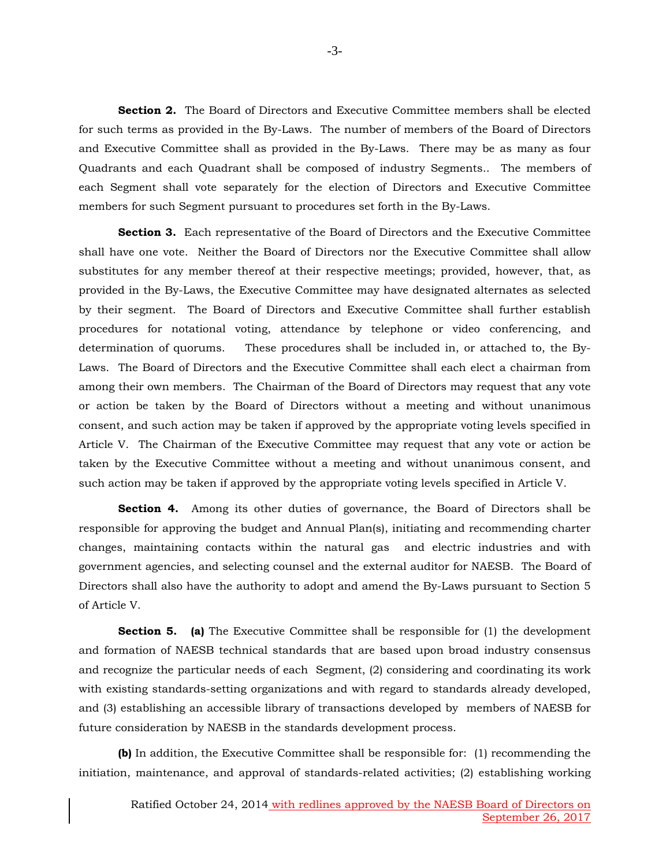**Section 2.** The Board of Directors and Executive Committee members shall be elected for such terms as provided in the By-Laws. The number of members of the Board of Directors and Executive Committee shall as provided in the By-Laws. There may be as many as four Quadrants and each Quadrant shall be composed of industry Segments.. The members of each Segment shall vote separately for the election of Directors and Executive Committee members for such Segment pursuant to procedures set forth in the By-Laws.

**Section 3.** Each representative of the Board of Directors and the Executive Committee shall have one vote. Neither the Board of Directors nor the Executive Committee shall allow substitutes for any member thereof at their respective meetings; provided, however, that, as provided in the By-Laws, the Executive Committee may have designated alternates as selected by their segment. The Board of Directors and Executive Committee shall further establish procedures for notational voting, attendance by telephone or video conferencing, and determination of quorums. These procedures shall be included in, or attached to, the By-Laws. The Board of Directors and the Executive Committee shall each elect a chairman from among their own members. The Chairman of the Board of Directors may request that any vote or action be taken by the Board of Directors without a meeting and without unanimous consent, and such action may be taken if approved by the appropriate voting levels specified in Article V. The Chairman of the Executive Committee may request that any vote or action be taken by the Executive Committee without a meeting and without unanimous consent, and such action may be taken if approved by the appropriate voting levels specified in Article V.

**Section 4.** Among its other duties of governance, the Board of Directors shall be responsible for approving the budget and Annual Plan(s), initiating and recommending charter changes, maintaining contacts within the natural gas and electric industries and with government agencies, and selecting counsel and the external auditor for NAESB. The Board of Directors shall also have the authority to adopt and amend the By-Laws pursuant to Section 5 of Article V.

**Section 5.** (a) The Executive Committee shall be responsible for (1) the development and formation of NAESB technical standards that are based upon broad industry consensus and recognize the particular needs of each Segment, (2) considering and coordinating its work with existing standards-setting organizations and with regard to standards already developed, and (3) establishing an accessible library of transactions developed by members of NAESB for future consideration by NAESB in the standards development process.

**(b)** In addition, the Executive Committee shall be responsible for: (1) recommending the initiation, maintenance, and approval of standards-related activities; (2) establishing working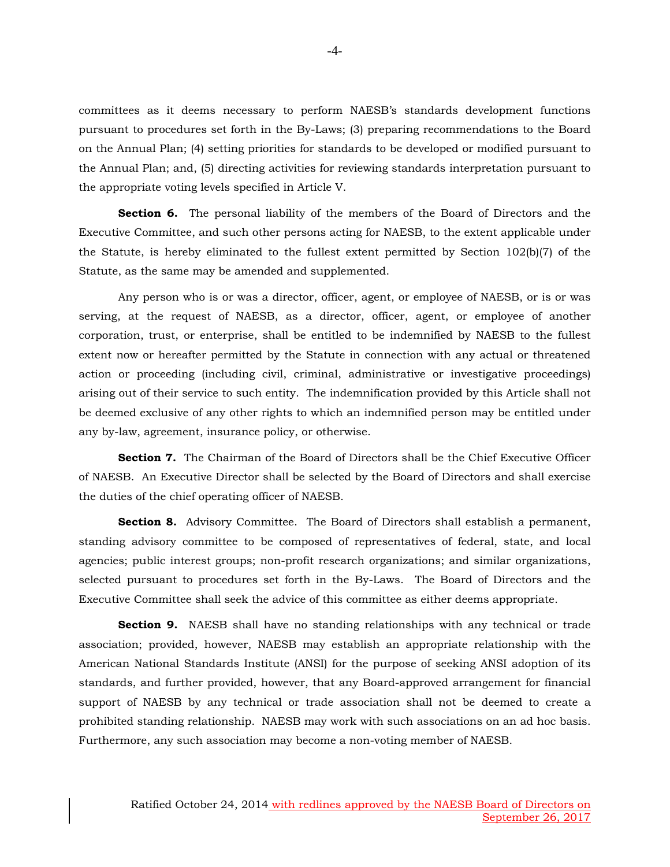committees as it deems necessary to perform NAESB's standards development functions pursuant to procedures set forth in the By-Laws; (3) preparing recommendations to the Board on the Annual Plan; (4) setting priorities for standards to be developed or modified pursuant to the Annual Plan; and, (5) directing activities for reviewing standards interpretation pursuant to the appropriate voting levels specified in Article V.

**Section 6.** The personal liability of the members of the Board of Directors and the Executive Committee, and such other persons acting for NAESB, to the extent applicable under the Statute, is hereby eliminated to the fullest extent permitted by Section 102(b)(7) of the Statute, as the same may be amended and supplemented.

 Any person who is or was a director, officer, agent, or employee of NAESB, or is or was serving, at the request of NAESB, as a director, officer, agent, or employee of another corporation, trust, or enterprise, shall be entitled to be indemnified by NAESB to the fullest extent now or hereafter permitted by the Statute in connection with any actual or threatened action or proceeding (including civil, criminal, administrative or investigative proceedings) arising out of their service to such entity. The indemnification provided by this Article shall not be deemed exclusive of any other rights to which an indemnified person may be entitled under any by-law, agreement, insurance policy, or otherwise.

**Section 7.** The Chairman of the Board of Directors shall be the Chief Executive Officer of NAESB. An Executive Director shall be selected by the Board of Directors and shall exercise the duties of the chief operating officer of NAESB.

**Section 8.** Advisory Committee. The Board of Directors shall establish a permanent, standing advisory committee to be composed of representatives of federal, state, and local agencies; public interest groups; non-profit research organizations; and similar organizations, selected pursuant to procedures set forth in the By-Laws. The Board of Directors and the Executive Committee shall seek the advice of this committee as either deems appropriate.

**Section 9.** NAESB shall have no standing relationships with any technical or trade association; provided, however, NAESB may establish an appropriate relationship with the American National Standards Institute (ANSI) for the purpose of seeking ANSI adoption of its standards, and further provided, however, that any Board-approved arrangement for financial support of NAESB by any technical or trade association shall not be deemed to create a prohibited standing relationship. NAESB may work with such associations on an ad hoc basis. Furthermore, any such association may become a non-voting member of NAESB.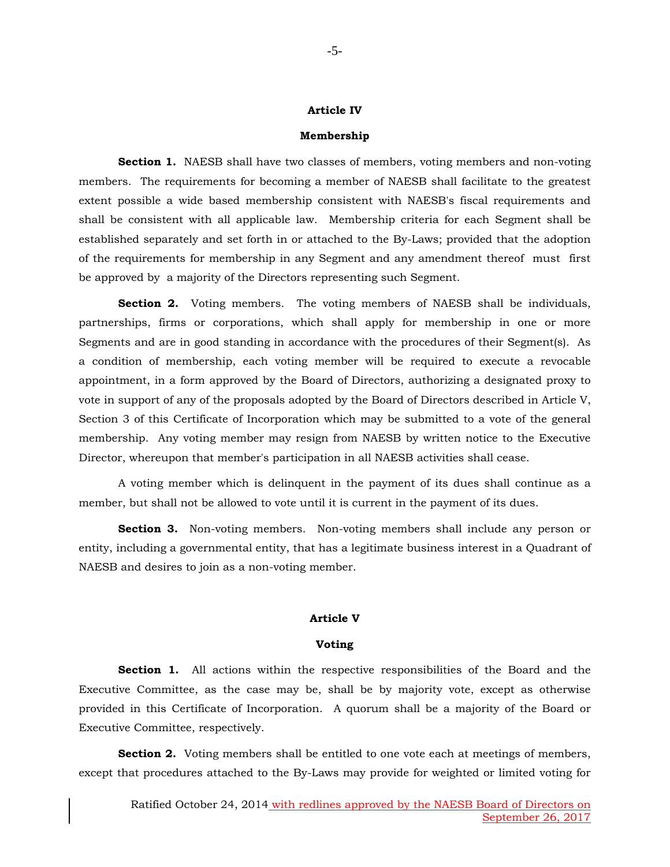## **Article IV**

#### **Membership**

**Section 1.** NAESB shall have two classes of members, voting members and non-voting members. The requirements for becoming a member of NAESB shall facilitate to the greatest extent possible a wide based membership consistent with NAESB's fiscal requirements and shall be consistent with all applicable law. Membership criteria for each Segment shall be established separately and set forth in or attached to the By-Laws; provided that the adoption of the requirements for membership in any Segment and any amendment thereof must first be approved by a majority of the Directors representing such Segment.

**Section 2.** Voting members. The voting members of NAESB shall be individuals, partnerships, firms or corporations, which shall apply for membership in one or more Segments and are in good standing in accordance with the procedures of their Segment(s). As a condition of membership, each voting member will be required to execute a revocable appointment, in a form approved by the Board of Directors, authorizing a designated proxy to vote in support of any of the proposals adopted by the Board of Directors described in Article V, Section 3 of this Certificate of Incorporation which may be submitted to a vote of the general membership. Any voting member may resign from NAESB by written notice to the Executive Director, whereupon that member's participation in all NAESB activities shall cease.

 A voting member which is delinquent in the payment of its dues shall continue as a member, but shall not be allowed to vote until it is current in the payment of its dues.

**Section 3.** Non-voting members. Non-voting members shall include any person or entity, including a governmental entity, that has a legitimate business interest in a Quadrant of NAESB and desires to join as a non-voting member.

#### **Article V**

#### **Voting**

**Section 1.** All actions within the respective responsibilities of the Board and the Executive Committee, as the case may be, shall be by majority vote, except as otherwise provided in this Certificate of Incorporation. A quorum shall be a majority of the Board or Executive Committee, respectively.

**Section 2.** Voting members shall be entitled to one vote each at meetings of members, except that procedures attached to the By-Laws may provide for weighted or limited voting for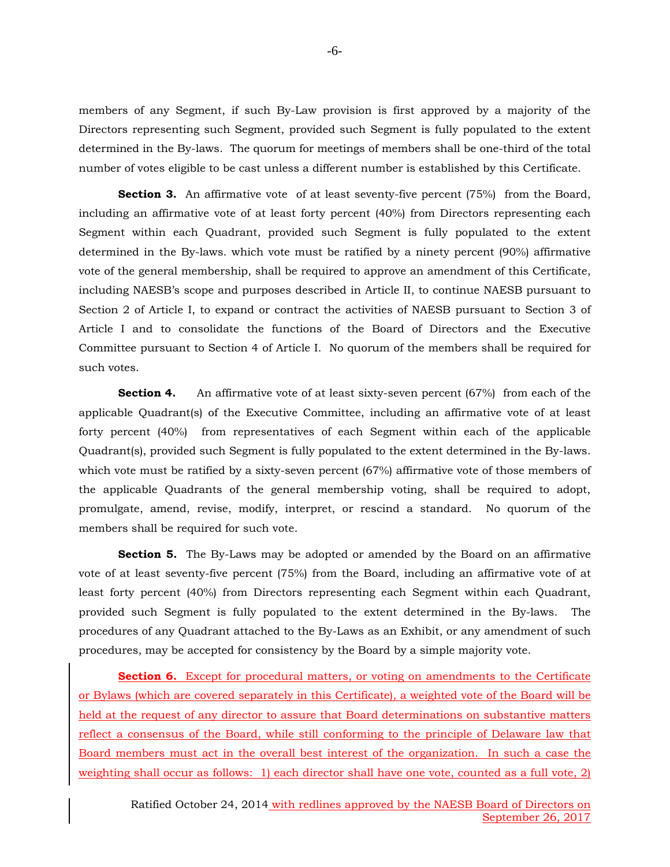members of any Segment, if such By-Law provision is first approved by a majority of the Directors representing such Segment, provided such Segment is fully populated to the extent determined in the By-laws. The quorum for meetings of members shall be one-third of the total number of votes eligible to be cast unless a different number is established by this Certificate.

**Section 3.** An affirmative vote of at least seventy-five percent (75%) from the Board, including an affirmative vote of at least forty percent (40%) from Directors representing each Segment within each Quadrant, provided such Segment is fully populated to the extent determined in the By-laws. which vote must be ratified by a ninety percent (90%) affirmative vote of the general membership, shall be required to approve an amendment of this Certificate, including NAESB's scope and purposes described in Article II, to continue NAESB pursuant to Section 2 of Article I, to expand or contract the activities of NAESB pursuant to Section 3 of Article I and to consolidate the functions of the Board of Directors and the Executive Committee pursuant to Section 4 of Article I. No quorum of the members shall be required for such votes.

**Section 4.** An affirmative vote of at least sixty-seven percent (67%) from each of the applicable Quadrant(s) of the Executive Committee, including an affirmative vote of at least forty percent (40%) from representatives of each Segment within each of the applicable Quadrant(s), provided such Segment is fully populated to the extent determined in the By-laws. which vote must be ratified by a sixty-seven percent (67%) affirmative vote of those members of the applicable Quadrants of the general membership voting, shall be required to adopt, promulgate, amend, revise, modify, interpret, or rescind a standard. No quorum of the members shall be required for such vote.

**Section 5.** The By-Laws may be adopted or amended by the Board on an affirmative vote of at least seventy-five percent (75%) from the Board, including an affirmative vote of at least forty percent (40%) from Directors representing each Segment within each Quadrant, provided such Segment is fully populated to the extent determined in the By-laws. The procedures of any Quadrant attached to the By-Laws as an Exhibit, or any amendment of such procedures, may be accepted for consistency by the Board by a simple majority vote.

**Section 6.** Except for procedural matters, or voting on amendments to the Certificate or Bylaws (which are covered separately in this Certificate), a weighted vote of the Board will be held at the request of any director to assure that Board determinations on substantive matters reflect a consensus of the Board, while still conforming to the principle of Delaware law that Board members must act in the overall best interest of the organization. In such a case the weighting shall occur as follows: 1) each director shall have one vote, counted as a full vote, 2)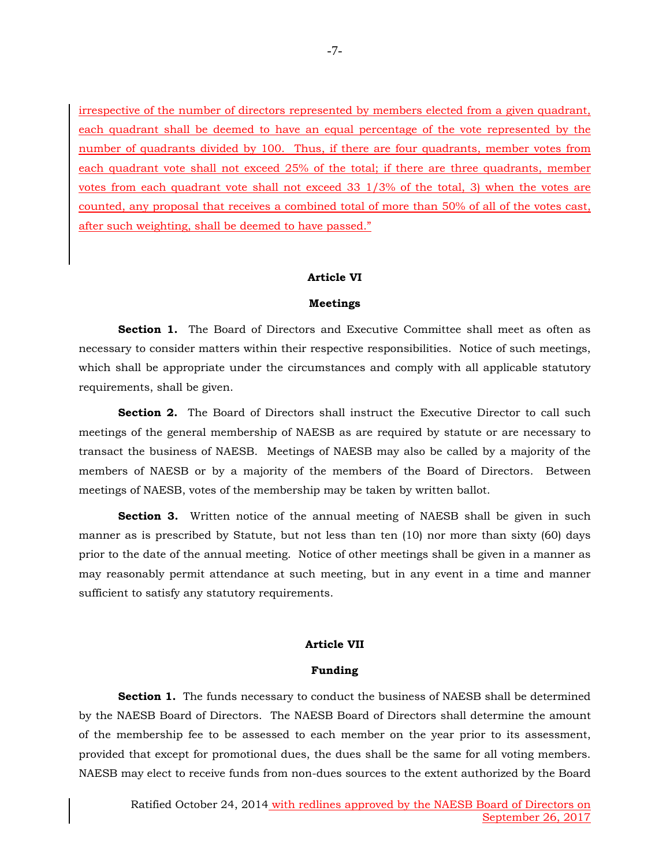irrespective of the number of directors represented by members elected from a given quadrant, each quadrant shall be deemed to have an equal percentage of the vote represented by the number of quadrants divided by 100. Thus, if there are four quadrants, member votes from each quadrant vote shall not exceed 25% of the total; if there are three quadrants, member votes from each quadrant vote shall not exceed 33 1/3% of the total, 3) when the votes are counted, any proposal that receives a combined total of more than 50% of all of the votes cast, after such weighting, shall be deemed to have passed."

### **Article VI**

#### **Meetings**

**Section 1.** The Board of Directors and Executive Committee shall meet as often as necessary to consider matters within their respective responsibilities. Notice of such meetings, which shall be appropriate under the circumstances and comply with all applicable statutory requirements, shall be given.

**Section 2.** The Board of Directors shall instruct the Executive Director to call such meetings of the general membership of NAESB as are required by statute or are necessary to transact the business of NAESB. Meetings of NAESB may also be called by a majority of the members of NAESB or by a majority of the members of the Board of Directors. Between meetings of NAESB, votes of the membership may be taken by written ballot.

**Section 3.** Written notice of the annual meeting of NAESB shall be given in such manner as is prescribed by Statute, but not less than ten (10) nor more than sixty (60) days prior to the date of the annual meeting. Notice of other meetings shall be given in a manner as may reasonably permit attendance at such meeting, but in any event in a time and manner sufficient to satisfy any statutory requirements.

## **Article VII**

#### **Funding**

**Section 1.** The funds necessary to conduct the business of NAESB shall be determined by the NAESB Board of Directors. The NAESB Board of Directors shall determine the amount of the membership fee to be assessed to each member on the year prior to its assessment, provided that except for promotional dues, the dues shall be the same for all voting members. NAESB may elect to receive funds from non-dues sources to the extent authorized by the Board